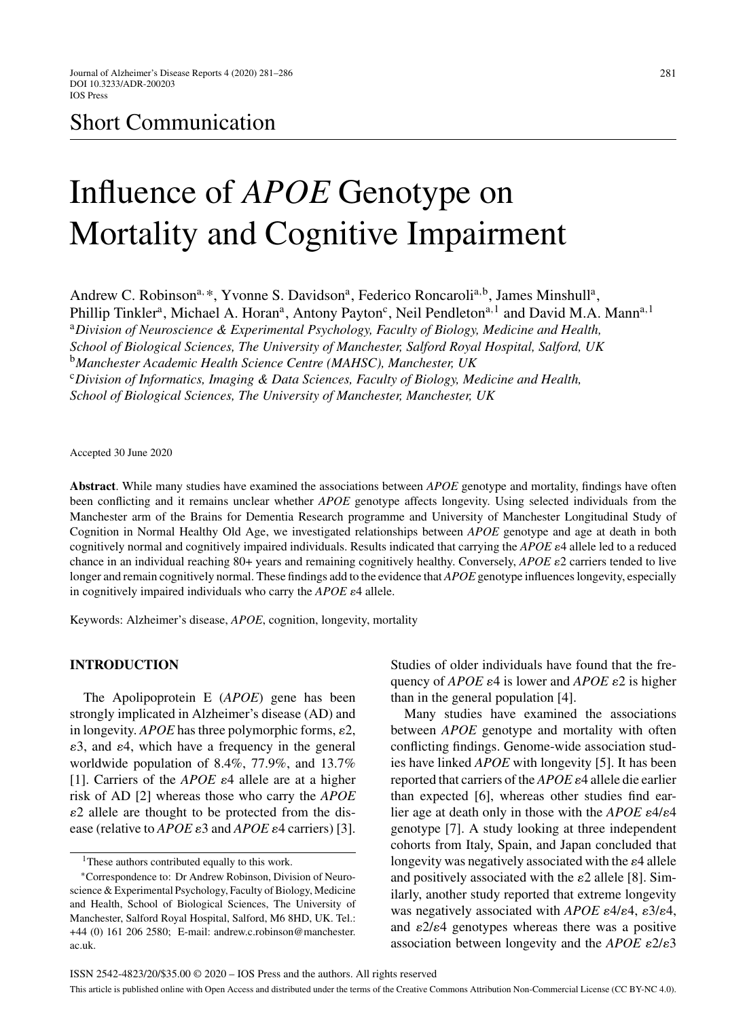# Short Communication

# Influence of *APOE* Genotype on Mortality and Cognitive Impairment

Andrew C. Robinson<sup>a, \*</sup>, Yvonne S. Davidson<sup>a</sup>, Federico Roncaroli<sup>a, b</sup>, James Minshull<sup>a</sup>, Phillip Tinkler<sup>a</sup>, Michael A. Horan<sup>a</sup>, Antony Payton<sup>c</sup>, Neil Pendleton<sup>a, 1</sup> and David M.A. Mann<sup>a, 1</sup> <sup>a</sup>*Division of Neuroscience & Experimental Psychology, Faculty of Biology, Medicine and Health, School of Biological Sciences, The University of Manchester, Salford Royal Hospital, Salford, UK* <sup>b</sup>*Manchester Academic Health Science Centre (MAHSC), Manchester, UK* <sup>c</sup>*Division of Informatics, Imaging & Data Sciences, Faculty of Biology, Medicine and Health, School of Biological Sciences, The University of Manchester, Manchester, UK*

Accepted 30 June 2020

**Abstract**. While many studies have examined the associations between *APOE* genotype and mortality, findings have often been conflicting and it remains unclear whether *APOE* genotype affects longevity. Using selected individuals from the Manchester arm of the Brains for Dementia Research programme and University of Manchester Longitudinal Study of Cognition in Normal Healthy Old Age, we investigated relationships between *APOE* genotype and age at death in both cognitively normal and cognitively impaired individuals. Results indicated that carrying the  $APOE$  allele led to a reduced chance in an individual reaching 80+ years and remaining cognitively healthy. Conversely, *APOE*  $\varepsilon$ 2 carriers tended to live longer and remain cognitively normal. These findings add to the evidence that *APOE* genotype influences longevity, especially in cognitively impaired individuals who carry the *APOE*  $\varepsilon$ 4 allele.

Keywords: Alzheimer's disease, *APOE*, cognition, longevity, mortality

# **INTRODUCTION**

The Apolipoprotein E (*APOE*) gene has been strongly implicated in Alzheimer's disease (AD) and in longevity.  $APOE$  has three polymorphic forms,  $\varepsilon$ 2,  $\varepsilon$ 3, and  $\varepsilon$ 4, which have a frequency in the general worldwide population of 8.4%, 77.9%, and 13.7% [1]. Carriers of the  $APOE$   $\varepsilon$ <sup>4</sup> allele are at a higher risk of AD [2] whereas those who carry the *APOE* -2 allele are thought to be protected from the disease (relative to  $APOE \varepsilon 3$  and  $APOE \varepsilon 4$  carriers) [3].

Studies of older individuals have found that the frequency of *APOE*  $\varepsilon$ 4 is lower and *APOE*  $\varepsilon$ 2 is higher than in the general population [4].

Many studies have examined the associations between *APOE* genotype and mortality with often conflicting findings. Genome-wide association studies have linked *APOE* with longevity [5]. It has been reported that carriers of the *APOE*  $\varepsilon$ 4 allele die earlier than expected [6], whereas other studies find earlier age at death only in those with the  $APOE$   $\varepsilon$ 4/ $\varepsilon$ 4 genotype [7]. A study looking at three independent cohorts from Italy, Spain, and Japan concluded that longevity was negatively associated with the  $\varepsilon$ 4 allele and positively associated with the  $\varepsilon$ 2 allele [8]. Similarly, another study reported that extreme longevity was negatively associated with *APOE*  $\varepsilon$ 4/ $\varepsilon$ 4,  $\varepsilon$ 3/ $\varepsilon$ 4, and  $\varepsilon$ 2/ $\varepsilon$ 4 genotypes whereas there was a positive association between longevity and the  $APOE$   $\varepsilon$ 2/ $\varepsilon$ 3

<sup>&</sup>lt;sup>1</sup>These authors contributed equally to this work.

<sup>∗</sup>Correspondence to: Dr Andrew Robinson, Division of Neuroscience & Experimental Psychology, Faculty of Biology, Medicine and Health, School of Biological Sciences, The University of Manchester, Salford Royal Hospital, Salford, M6 8HD, UK. Tel.: +44 (0) 161 206 2580; E-mail: [andrew.c.robinson@manchester.](mailto:andrew.c.robinson@manchester.{penalty -@M }ac.uk) ac.uk.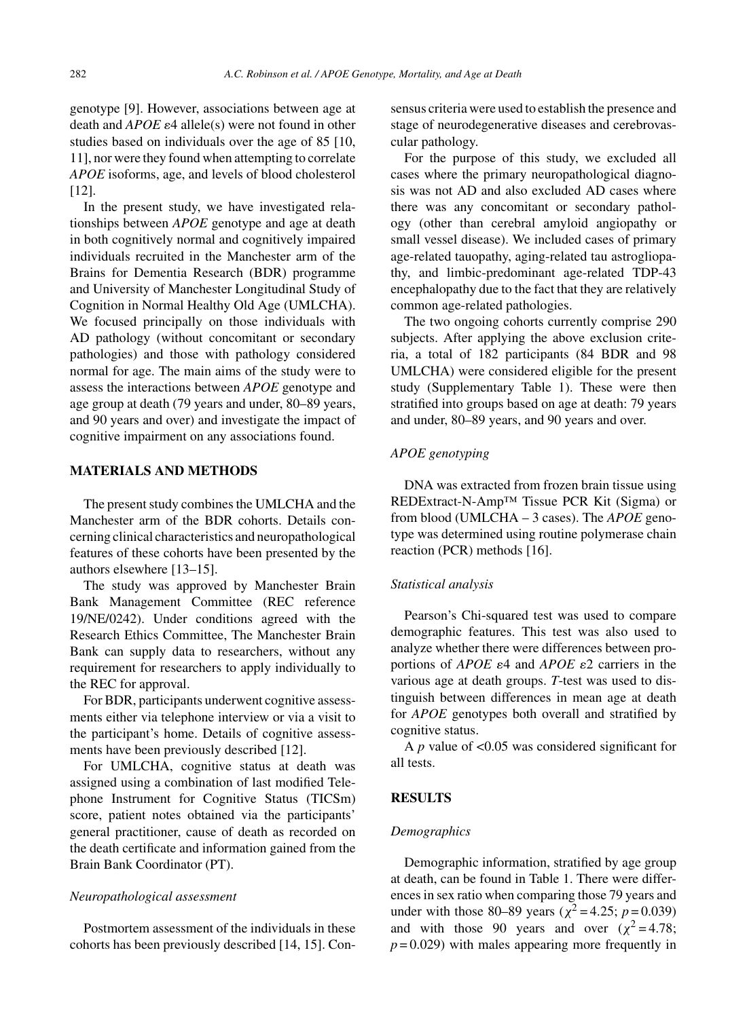genotype [9]. However, associations between age at  $\text{death}$  and  $\text{APOE}$   $\epsilon$ 4 allele(s) were not found in other studies based on individuals over the age of 85 [10, 11], nor were they found when attempting to correlate *APOE* isoforms, age, and levels of blood cholesterol [12].

In the present study, we have investigated relationships between *APOE* genotype and age at death in both cognitively normal and cognitively impaired individuals recruited in the Manchester arm of the Brains for Dementia Research (BDR) programme and University of Manchester Longitudinal Study of Cognition in Normal Healthy Old Age (UMLCHA). We focused principally on those individuals with AD pathology (without concomitant or secondary pathologies) and those with pathology considered normal for age. The main aims of the study were to assess the interactions between *APOE* genotype and age group at death (79 years and under, 80–89 years, and 90 years and over) and investigate the impact of cognitive impairment on any associations found.

# **MATERIALS AND METHODS**

The present study combines the UMLCHA and the Manchester arm of the BDR cohorts. Details concerning clinical characteristics and neuropathological features of these cohorts have been presented by the authors elsewhere [13–15].

The study was approved by Manchester Brain Bank Management Committee (REC reference 19/NE/0242). Under conditions agreed with the Research Ethics Committee, The Manchester Brain Bank can supply data to researchers, without any requirement for researchers to apply individually to the REC for approval.

For BDR, participants underwent cognitive assessments either via telephone interview or via a visit to the participant's home. Details of cognitive assessments have been previously described [12].

For UMLCHA, cognitive status at death was assigned using a combination of last modified Telephone Instrument for Cognitive Status (TICSm) score, patient notes obtained via the participants' general practitioner, cause of death as recorded on the death certificate and information gained from the Brain Bank Coordinator (PT).

# *Neuropathological assessment*

Postmortem assessment of the individuals in these cohorts has been previously described [14, 15]. Consensus criteria were used to establish the presence and stage of neurodegenerative diseases and cerebrovascular pathology.

For the purpose of this study, we excluded all cases where the primary neuropathological diagnosis was not AD and also excluded AD cases where there was any concomitant or secondary pathology (other than cerebral amyloid angiopathy or small vessel disease). We included cases of primary age-related tauopathy, aging-related tau astrogliopathy, and limbic-predominant age-related TDP-43 encephalopathy due to the fact that they are relatively common age-related pathologies.

The two ongoing cohorts currently comprise 290 subjects. After applying the above exclusion criteria, a total of 182 participants (84 BDR and 98 UMLCHA) were considered eligible for the present study (Supplementary Table 1). These were then stratified into groups based on age at death: 79 years and under, 80–89 years, and 90 years and over.

# *APOE genotyping*

DNA was extracted from frozen brain tissue using REDExtract-N-Amp™ Tissue PCR Kit (Sigma) or from blood (UMLCHA – 3 cases). The *APOE* genotype was determined using routine polymerase chain reaction (PCR) methods [16].

#### *Statistical analysis*

Pearson's Chi-squared test was used to compare demographic features. This test was also used to analyze whether there were differences between proportions of *APOE*  $\varepsilon$ 4 and *APOE*  $\varepsilon$ 2 carriers in the various age at death groups. *T*-test was used to distinguish between differences in mean age at death for *APOE* genotypes both overall and stratified by cognitive status.

A *p* value of <0.05 was considered significant for all tests.

# **RESULTS**

#### *Demographics*

Demographic information, stratified by age group at death, can be found in Table 1. There were differences in sex ratio when comparing those 79 years and under with those 80–89 years ( $\chi^2$  = 4.25; *p* = 0.039) and with those 90 years and over  $(\chi^2 = 4.78)$ ;  $p = 0.029$ ) with males appearing more frequently in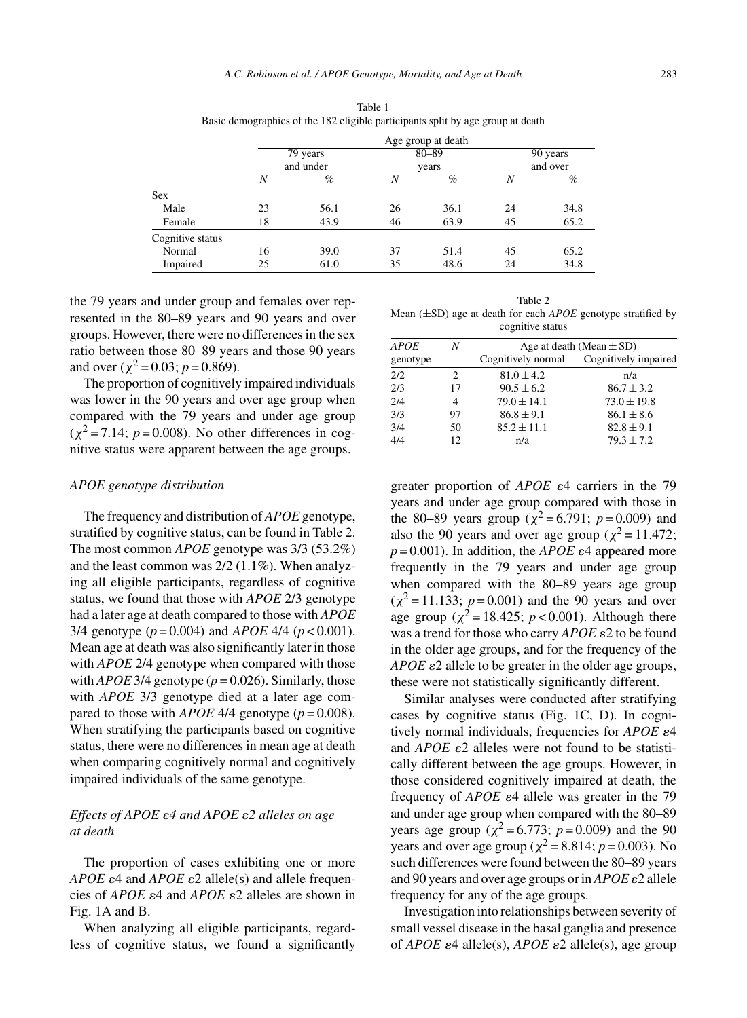|                  | Age group at death    |      |                    |      |                      |      |
|------------------|-----------------------|------|--------------------|------|----------------------|------|
|                  | 79 years<br>and under |      | $80 - 89$<br>years |      | 90 years<br>and over |      |
|                  |                       |      |                    |      |                      |      |
|                  | N                     | %    | N                  | $\%$ | N                    | $\%$ |
| <b>Sex</b>       |                       |      |                    |      |                      |      |
| Male             | 23                    | 56.1 | 26                 | 36.1 | 24                   | 34.8 |
| Female           | 18                    | 43.9 | 46                 | 63.9 | 45                   | 65.2 |
| Cognitive status |                       |      |                    |      |                      |      |
| Normal           | 16                    | 39.0 | 37                 | 51.4 | 45                   | 65.2 |
| Impaired         | 25                    | 61.0 | 35                 | 48.6 | 24                   | 34.8 |

Table 1 Basic demographics of the 182 eligible participants split by age group at death

the 79 years and under group and females over represented in the 80–89 years and 90 years and over groups. However, there were no differences in the sex ratio between those 80–89 years and those 90 years and over ( $\chi^2$  = 0.03; *p* = 0.869).

The proportion of cognitively impaired individuals was lower in the 90 years and over age group when compared with the 79 years and under age group  $(\chi^2 = 7.14; p = 0.008)$ . No other differences in cognitive status were apparent between the age groups.

#### *APOE genotype distribution*

The frequency and distribution of *APOE* genotype, stratified by cognitive status, can be found in Table 2. The most common *APOE* genotype was 3/3 (53.2%) and the least common was 2/2 (1.1%). When analyzing all eligible participants, regardless of cognitive status, we found that those with *APOE* 2/3 genotype had a later age at death compared to those with *APOE* 3/4 genotype (*p* = 0.004) and *APOE* 4/4 (*p* < 0.001). Mean age at death was also significantly later in those with *APOE* 2/4 genotype when compared with those with *APOE* 3/4 genotype ( $p = 0.026$ ). Similarly, those with *APOE* 3/3 genotype died at a later age compared to those with *APOE* 4/4 genotype  $(p = 0.008)$ . When stratifying the participants based on cognitive status, there were no differences in mean age at death when comparing cognitively normal and cognitively impaired individuals of the same genotype.

# *Effects of APOE* ε4 and APOE ε2 alleles on age *at death*

The proportion of cases exhibiting one or more  $APOE \varepsilon 4$  and  $APOE \varepsilon 2$  allele(s) and allele frequencies of *APOE*  $\varepsilon$ 4 and *APOE*  $\varepsilon$ 2 alleles are shown in Fig. 1A and B.

When analyzing all eligible participants, regardless of cognitive status, we found a significantly

| Table 2                                                                  |  |
|--------------------------------------------------------------------------|--|
| Mean $(\pm SD)$ age at death for each <i>APOE</i> genotype stratified by |  |
| cognitive status                                                         |  |

| <b>APOE</b> | Ν  | Age at death (Mean $\pm$ SD) |                      |  |  |
|-------------|----|------------------------------|----------------------|--|--|
| genotype    |    | Cognitively normal           | Cognitively impaired |  |  |
| 2/2         | 2  | $81.0 \pm 4.2$               | n/a                  |  |  |
| 2/3         | 17 | $90.5 \pm 6.2$               | $86.7 \pm 3.2$       |  |  |
| 2/4         | 4  | $79.0 \pm 14.1$              | $73.0 \pm 19.8$      |  |  |
| 3/3         | 97 | $86.8 \pm 9.1$               | $86.1 \pm 8.6$       |  |  |
| 3/4         | 50 | $85.2 \pm 11.1$              | $82.8 \pm 9.1$       |  |  |
| 4/4         | 12 | n/a                          | $79.3 \pm 7.2$       |  |  |

greater proportion of  $APOE$   $\varepsilon$ <sup>4</sup> carriers in the 79 years and under age group compared with those in the 80–89 years group ( $\chi^2$  = 6.791; *p* = 0.009) and also the 90 years and over age group ( $\chi^2$  = 11.472;  $p = 0.001$ ). In addition, the *APOE*  $\varepsilon$ 4 appeared more frequently in the 79 years and under age group when compared with the 80–89 years age group  $(\chi^2 = 11.133; p = 0.001)$  and the 90 years and over age group ( $\chi^2$  = 18.425; *p* < 0.001). Although there was a trend for those who carry  $APOE \varepsilon2$  to be found in the older age groups, and for the frequency of the APOE  $\varepsilon$ 2 allele to be greater in the older age groups, these were not statistically significantly different.

Similar analyses were conducted after stratifying cases by cognitive status (Fig. 1C, D). In cognitively normal individuals, frequencies for  $APOE$   $\varepsilon$ <sup>4</sup> and *APOE*  $\varepsilon$ 2 alleles were not found to be statistically different between the age groups. However, in those considered cognitively impaired at death, the frequency of  $APOE$   $\varepsilon$ 4 allele was greater in the 79 and under age group when compared with the 80–89 years age group ( $\chi^2$  = 6.773; *p* = 0.009) and the 90 years and over age group ( $\chi^2 = 8.814$ ; *p* = 0.003). No such differences were found between the 80–89 years and 90 years and over age groups or in *APOE*  $\varepsilon$ 2 allele frequency for any of the age groups.

Investigation into relationships between severity of small vessel disease in the basal ganglia and presence of *APOE* ε4 allele(s), *APOE* ε2 allele(s), age group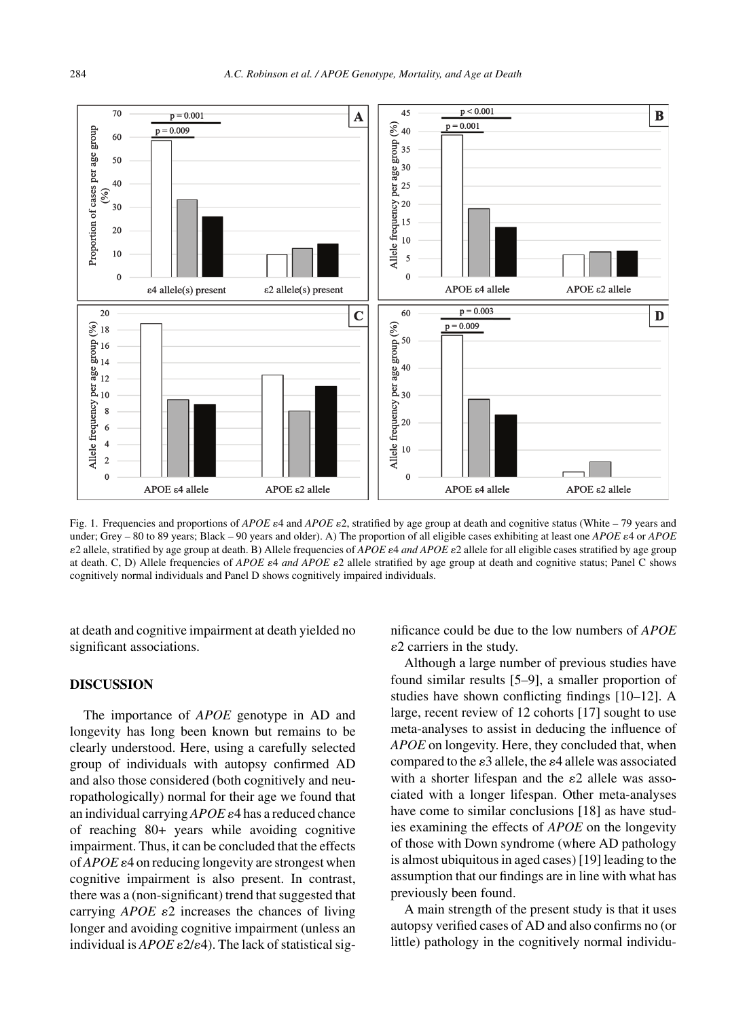

Fig. 1. Frequencies and proportions of *APOE* e4 and *APOE* e2, stratified by age group at death and cognitive status (White – 79 years and under; Grey - 80 to 89 years; Black - 90 years and older). A) The proportion of all eligible cases exhibiting at least one *APOE*  $\varepsilon$ 4 or *APOE*  $ε$ 2 allele, stratified by age group at death. B) Allele frequencies of *APOE*  $ε$ 4 *and APOE*  $ε$ 2 allele for all eligible cases stratified by age group at death. C, D) Allele frequencies of *APOE*  $\varepsilon 4$  *and APOE*  $\varepsilon 2$  allele stratified by age group at death and cognitive status; Panel C shows cognitively normal individuals and Panel D shows cognitively impaired individuals.

at death and cognitive impairment at death yielded no significant associations.

# **DISCUSSION**

The importance of *APOE* genotype in AD and longevity has long been known but remains to be clearly understood. Here, using a carefully selected group of individuals with autopsy confirmed AD and also those considered (both cognitively and neuropathologically) normal for their age we found that an individual carrying  $APOE$   $\varepsilon$ 4 has a reduced chance of reaching 80+ years while avoiding cognitive impairment. Thus, it can be concluded that the effects of  $APOE \varepsilon$ 4 on reducing longevity are strongest when cognitive impairment is also present. In contrast, there was a (non-significant) trend that suggested that carrying  $APOE$   $\varepsilon$ 2 increases the chances of living longer and avoiding cognitive impairment (unless an individual is  $APOE \varepsilon^2/\varepsilon^4$ ). The lack of statistical significance could be due to the low numbers of *APOE*  $\varepsilon$ 2 carriers in the study.

Although a large number of previous studies have found similar results [5–9], a smaller proportion of studies have shown conflicting findings [10–12]. A large, recent review of 12 cohorts [17] sought to use meta-analyses to assist in deducing the influence of *APOE* on longevity. Here, they concluded that, when compared to the  $\varepsilon$ 3 allele, the  $\varepsilon$ 4 allele was associated with a shorter lifespan and the  $\varepsilon$ 2 allele was associated with a longer lifespan. Other meta-analyses have come to similar conclusions [18] as have studies examining the effects of *APOE* on the longevity of those with Down syndrome (where AD pathology is almost ubiquitous in aged cases) [19] leading to the assumption that our findings are in line with what has previously been found.

A main strength of the present study is that it uses autopsy verified cases of AD and also confirms no (or little) pathology in the cognitively normal individu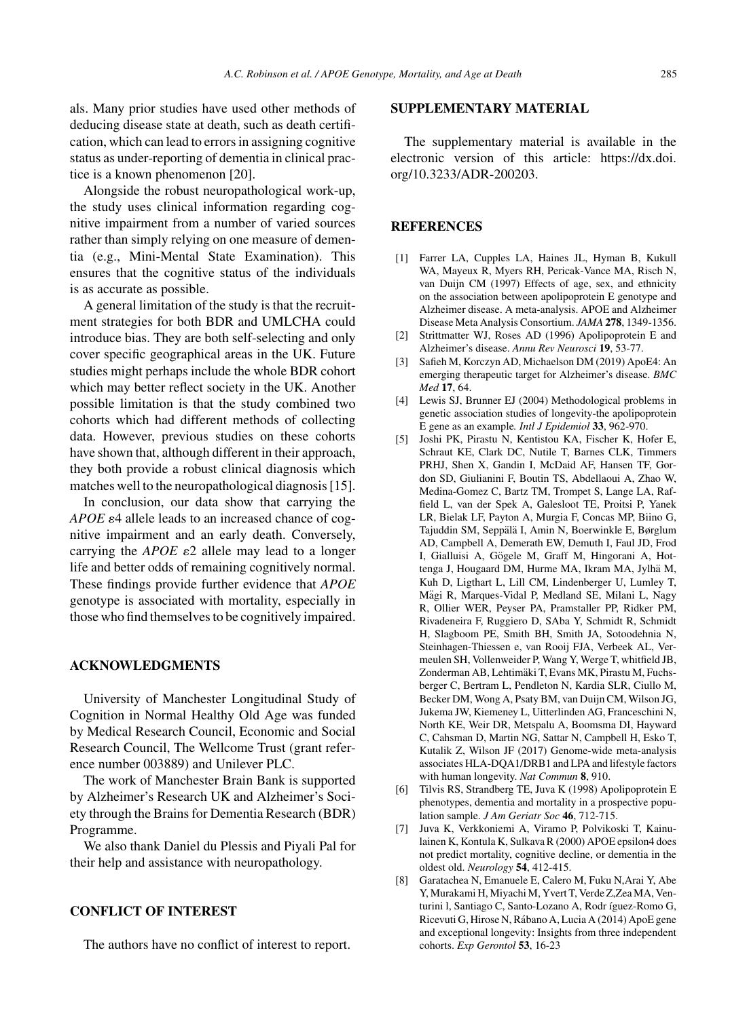als. Many prior studies have used other methods of deducing disease state at death, such as death certification, which can lead to errors in assigning cognitive status as under-reporting of dementia in clinical practice is a known phenomenon [20].

Alongside the robust neuropathological work-up, the study uses clinical information regarding cognitive impairment from a number of varied sources rather than simply relying on one measure of dementia (e.g., Mini-Mental State Examination). This ensures that the cognitive status of the individuals is as accurate as possible.

A general limitation of the study is that the recruitment strategies for both BDR and UMLCHA could introduce bias. They are both self-selecting and only cover specific geographical areas in the UK. Future studies might perhaps include the whole BDR cohort which may better reflect society in the UK. Another possible limitation is that the study combined two cohorts which had different methods of collecting data. However, previous studies on these cohorts have shown that, although different in their approach, they both provide a robust clinical diagnosis which matches well to the neuropathological diagnosis [15].

In conclusion, our data show that carrying the *APOE*  $\varepsilon$ 4 allele leads to an increased chance of cognitive impairment and an early death. Conversely, carrying the  $APOE$   $\varepsilon$ 2 allele may lead to a longer life and better odds of remaining cognitively normal. These findings provide further evidence that *APOE* genotype is associated with mortality, especially in those who find themselves to be cognitively impaired.

# **ACKNOWLEDGMENTS**

University of Manchester Longitudinal Study of Cognition in Normal Healthy Old Age was funded by Medical Research Council, Economic and Social Research Council, The Wellcome Trust (grant reference number 003889) and Unilever PLC.

The work of Manchester Brain Bank is supported by Alzheimer's Research UK and Alzheimer's Society through the Brains for Dementia Research (BDR) Programme.

We also thank Daniel du Plessis and Piyali Pal for their help and assistance with neuropathology.

# **CONFLICT OF INTEREST**

The authors have no conflict of interest to report.

## **SUPPLEMENTARY MATERIAL**

The supplementary material is available in the electronic version of this article: [https://dx.doi.](https://dx.doi.org/10.3233/ADR-200203) [org/10.3233/ADR-200203](https://dx.doi.org/10.3233/ADR-200203).

#### **REFERENCES**

- [1] Farrer LA, Cupples LA, Haines JL, Hyman B, Kukull WA, Mayeux R, Myers RH, Pericak-Vance MA, Risch N, van Duijn CM (1997) Effects of age, sex, and ethnicity on the association between apolipoprotein E genotype and Alzheimer disease. A meta-analysis. APOE and Alzheimer Disease Meta Analysis Consortium. *JAMA* **278**, 1349-1356.
- [2] Strittmatter WJ, Roses AD (1996) Apolipoprotein E and Alzheimer's disease. *Annu Rev Neurosci* **19**, 53-77.
- [3] Safieh M, Korczyn AD, Michaelson DM (2019) ApoE4: An emerging therapeutic target for Alzheimer's disease. *BMC Med* **17**, 64.
- [4] Lewis SJ, Brunner EJ (2004) Methodological problems in genetic association studies of longevity-the apolipoprotein E gene as an example*. Intl J Epidemiol* **33**, 962-970.
- [5] Joshi PK, Pirastu N, Kentistou KA, Fischer K, Hofer E, Schraut KE, Clark DC, Nutile T, Barnes CLK, Timmers PRHJ, Shen X, Gandin I, McDaid AF, Hansen TF, Gordon SD, Giulianini F, Boutin TS, Abdellaoui A, Zhao W, Medina-Gomez C, Bartz TM, Trompet S, Lange LA, Raffield L, van der Spek A, Galesloot TE, Proitsi P, Yanek LR, Bielak LF, Payton A, Murgia F, Concas MP, Biino G, Tajuddin SM, Seppälä I, Amin N, Boerwinkle E, Børglum AD, Campbell A, Demerath EW, Demuth I, Faul JD, Frod I, Gialluisi A, Gögele M, Graff M, Hingorani A, Hottenga J, Hougaard DM, Hurme MA, Ikram MA, Jylhä M, Kuh D, Ligthart L, Lill CM, Lindenberger U, Lumley T, Mägi R, Marques-Vidal P, Medland SE, Milani L, Nagy R, Ollier WER, Peyser PA, Pramstaller PP, Ridker PM, Rivadeneira F, Ruggiero D, SAba Y, Schmidt R, Schmidt H, Slagboom PE, Smith BH, Smith JA, Sotoodehnia N, Steinhagen-Thiessen e, van Rooij FJA, Verbeek AL, Vermeulen SH, Vollenweider P, Wang Y, Werge T, whitfield JB, Zonderman AB, Lehtimäki T, Evans MK, Pirastu M, Fuchsberger C, Bertram L, Pendleton N, Kardia SLR, Ciullo M, Becker DM, Wong A, Psaty BM, van Duijn CM, Wilson JG, Jukema JW, Kiemeney L, Uitterlinden AG, Franceschini N, North KE, Weir DR, Metspalu A, Boomsma DI, Hayward C, Cahsman D, Martin NG, Sattar N, Campbell H, Esko T, Kutalik Z, Wilson JF (2017) Genome-wide meta-analysis associates HLA-DQA1/DRB1 and LPA and lifestyle factors with human longevity. *Nat Commun* **8**, 910.
- [6] Tilvis RS, Strandberg TE, Juva K (1998) Apolipoprotein E phenotypes, dementia and mortality in a prospective population sample. *J Am Geriatr Soc* **46**, 712-715.
- [7] Juva K, Verkkoniemi A, Viramo P, Polvikoski T, Kainulainen K, Kontula K, Sulkava R (2000) APOE epsilon4 does not predict mortality, cognitive decline, or dementia in the oldest old. *Neurology* **54**, 412-415.
- [8] Garatachea N, Emanuele E, Calero M, Fuku N,Arai Y, Abe Y, Murakami H, Miyachi M, Yvert T, Verde Z,Zea MA, Venturini l, Santiago C, Santo-Lozano A, Rodr íguez-Romo G, Ricevuti G, Hirose N, Rabano A, Lucia A (2014) ApoE gene ´ and exceptional longevity: Insights from three independent cohorts. *Exp Gerontol* **53**, 16-23